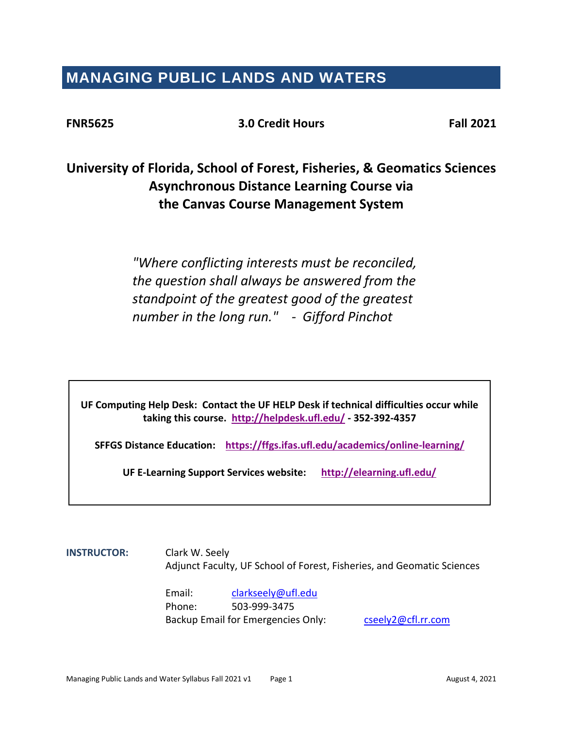# **MANAGING PUBLIC LANDS AND WATERS**

**FNR5625 3.0 Credit Hours Fall 2021**

# **University of Florida, School of Forest, Fisheries, & Geomatics Sciences Asynchronous Distance Learning Course via the Canvas Course Management System**

*"Where conflicting interests must be reconciled, the question shall always be answered from the standpoint of the greatest good of the greatest number in the long run." - Gifford Pinchot*

**UF Computing Help Desk: Contact the UF HELP Desk if technical difficulties occur while taking this course. <http://helpdesk.ufl.edu/> - 352-392-4357**

**SFFGS Distance Education: <https://ffgs.ifas.ufl.edu/academics/online-learning/>**

**UF E-Learning Support Services website: <http://elearning.ufl.edu/>**

**INSTRUCTOR:** Clark W. Seely Adjunct Faculty, UF School of Forest, Fisheries, and Geomatic Sciences

> Email: [clarkseely@ufl.edu](mailto:clarkseely@ufl.edu) Phone: 503-999-3475 Backup Email for Emergencies Only: [cseely2@cfl.rr.com](mailto:cseely2@cfl.rr.com)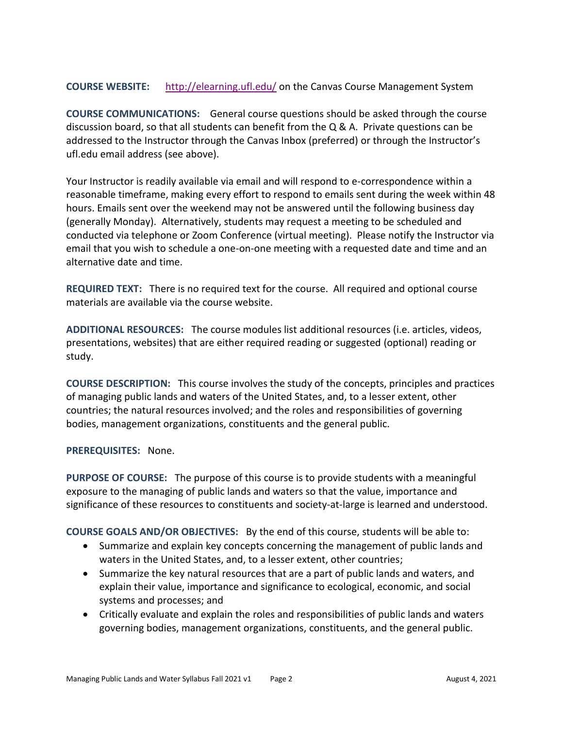**COURSE WEBSITE:** <http://elearning.ufl.edu/> on the Canvas Course Management System

**COURSE COMMUNICATIONS:** General course questions should be asked through the course discussion board, so that all students can benefit from the  $Q$  & A. Private questions can be addressed to the Instructor through the Canvas Inbox (preferred) or through the Instructor's ufl.edu email address (see above).

Your Instructor is readily available via email and will respond to e-correspondence within a reasonable timeframe, making every effort to respond to emails sent during the week within 48 hours. Emails sent over the weekend may not be answered until the following business day (generally Monday). Alternatively, students may request a meeting to be scheduled and conducted via telephone or Zoom Conference (virtual meeting). Please notify the Instructor via email that you wish to schedule a one-on-one meeting with a requested date and time and an alternative date and time.

**REQUIRED TEXT:** There is no required text for the course. All required and optional course materials are available via the course website.

**ADDITIONAL RESOURCES:** The course modules list additional resources (i.e. articles, videos, presentations, websites) that are either required reading or suggested (optional) reading or study.

**COURSE DESCRIPTION:** This course involves the study of the concepts, principles and practices of managing public lands and waters of the United States, and, to a lesser extent, other countries; the natural resources involved; and the roles and responsibilities of governing bodies, management organizations, constituents and the general public.

**PREREQUISITES:** None.

**PURPOSE OF COURSE:** The purpose of this course is to provide students with a meaningful exposure to the managing of public lands and waters so that the value, importance and significance of these resources to constituents and society-at-large is learned and understood.

**COURSE GOALS AND/OR OBJECTIVES:** By the end of this course, students will be able to:

- Summarize and explain key concepts concerning the management of public lands and waters in the United States, and, to a lesser extent, other countries;
- Summarize the key natural resources that are a part of public lands and waters, and explain their value, importance and significance to ecological, economic, and social systems and processes; and
- Critically evaluate and explain the roles and responsibilities of public lands and waters governing bodies, management organizations, constituents, and the general public.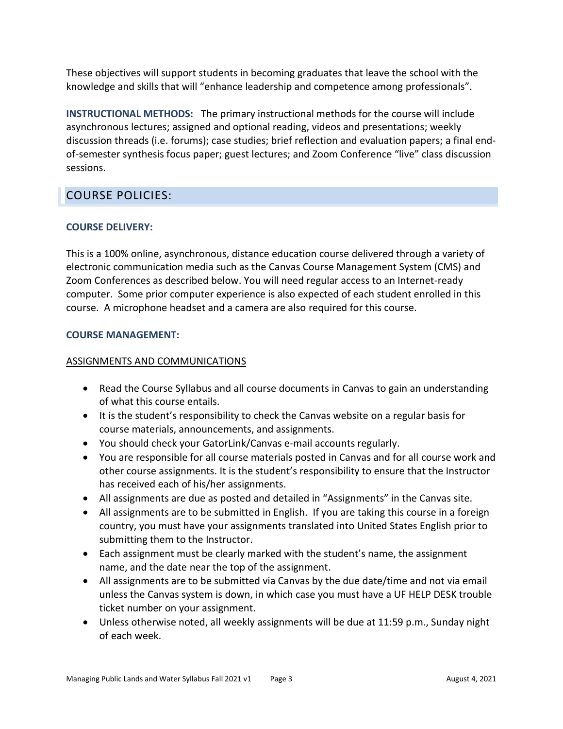These objectives will support students in becoming graduates that leave the school with the knowledge and skills that will "enhance leadership and competence among professionals".

**INSTRUCTIONAL METHODS:** The primary instructional methods for the course will include asynchronous lectures; assigned and optional reading, videos and presentations; weekly discussion threads (i.e. forums); case studies; brief reflection and evaluation papers; a final endof-semester synthesis focus paper; guest lectures; and Zoom Conference "live" class discussion sessions.

# COURSE POLICIES:

# **COURSE DELIVERY:**

This is a 100% online, asynchronous, distance education course delivered through a variety of electronic communication media such as the Canvas Course Management System (CMS) and Zoom Conferences as described below. You will need regular access to an Internet-ready computer. Some prior computer experience is also expected of each student enrolled in this course. A microphone headset and a camera are also required for this course.

# **COURSE MANAGEMENT:**

# ASSIGNMENTS AND COMMUNICATIONS

- Read the Course Syllabus and all course documents in Canvas to gain an understanding of what this course entails.
- It is the student's responsibility to check the Canvas website on a regular basis for course materials, announcements, and assignments.
- You should check your GatorLink/Canvas e-mail accounts regularly.
- You are responsible for all course materials posted in Canvas and for all course work and other course assignments. It is the student's responsibility to ensure that the Instructor has received each of his/her assignments.
- All assignments are due as posted and detailed in "Assignments" in the Canvas site.
- All assignments are to be submitted in English. If you are taking this course in a foreign country, you must have your assignments translated into United States English prior to submitting them to the Instructor.
- Each assignment must be clearly marked with the student's name, the assignment name, and the date near the top of the assignment.
- All assignments are to be submitted via Canvas by the due date/time and not via email unless the Canvas system is down, in which case you must have a UF HELP DESK trouble ticket number on your assignment.
- Unless otherwise noted, all weekly assignments will be due at 11:59 p.m., Sunday night of each week.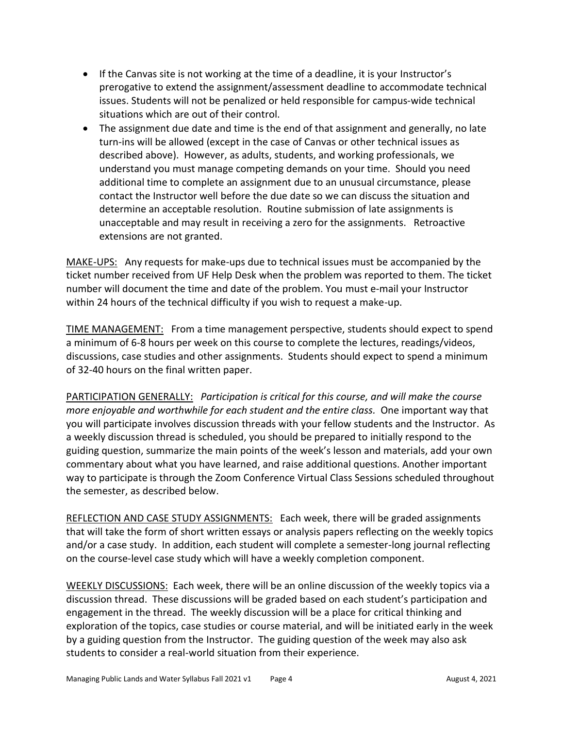- If the Canvas site is not working at the time of a deadline, it is your Instructor's prerogative to extend the assignment/assessment deadline to accommodate technical issues. Students will not be penalized or held responsible for campus-wide technical situations which are out of their control.
- The assignment due date and time is the end of that assignment and generally, no late turn-ins will be allowed (except in the case of Canvas or other technical issues as described above). However, as adults, students, and working professionals, we understand you must manage competing demands on your time. Should you need additional time to complete an assignment due to an unusual circumstance, please contact the Instructor well before the due date so we can discuss the situation and determine an acceptable resolution. Routine submission of late assignments is unacceptable and may result in receiving a zero for the assignments. Retroactive extensions are not granted.

MAKE-UPS: Any requests for make-ups due to technical issues must be accompanied by the ticket number received from UF Help Desk when the problem was reported to them. The ticket number will document the time and date of the problem. You must e-mail your Instructor within 24 hours of the technical difficulty if you wish to request a make-up.

TIME MANAGEMENT: From a time management perspective, students should expect to spend a minimum of 6-8 hours per week on this course to complete the lectures, readings/videos, discussions, case studies and other assignments. Students should expect to spend a minimum of 32-40 hours on the final written paper.

PARTICIPATION GENERALLY: *Participation is critical for this course, and will make the course more enjoyable and worthwhile for each student and the entire class.* One important way that you will participate involves discussion threads with your fellow students and the Instructor. As a weekly discussion thread is scheduled, you should be prepared to initially respond to the guiding question, summarize the main points of the week's lesson and materials, add your own commentary about what you have learned, and raise additional questions. Another important way to participate is through the Zoom Conference Virtual Class Sessions scheduled throughout the semester, as described below.

REFLECTION AND CASE STUDY ASSIGNMENTS: Each week, there will be graded assignments that will take the form of short written essays or analysis papers reflecting on the weekly topics and/or a case study. In addition, each student will complete a semester-long journal reflecting on the course-level case study which will have a weekly completion component.

WEEKLY DISCUSSIONS: Each week, there will be an online discussion of the weekly topics via a discussion thread. These discussions will be graded based on each student's participation and engagement in the thread. The weekly discussion will be a place for critical thinking and exploration of the topics, case studies or course material, and will be initiated early in the week by a guiding question from the Instructor. The guiding question of the week may also ask students to consider a real-world situation from their experience.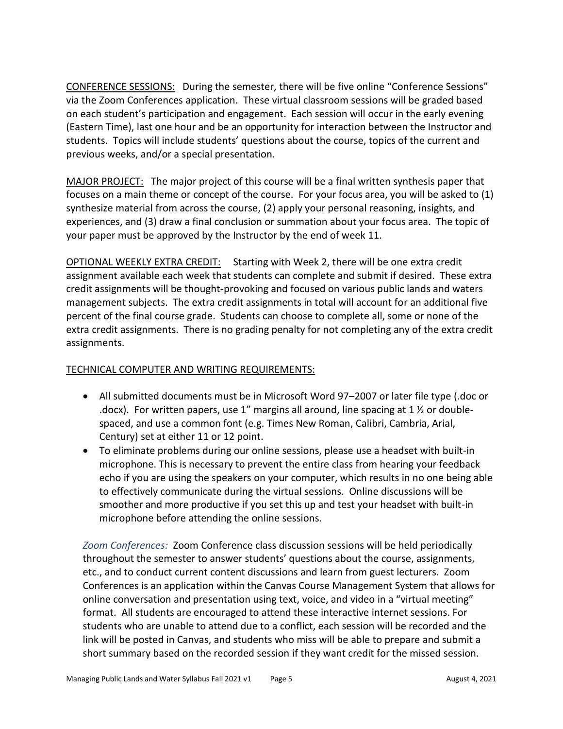CONFERENCE SESSIONS: During the semester, there will be five online "Conference Sessions" via the Zoom Conferences application. These virtual classroom sessions will be graded based on each student's participation and engagement. Each session will occur in the early evening (Eastern Time), last one hour and be an opportunity for interaction between the Instructor and students. Topics will include students' questions about the course, topics of the current and previous weeks, and/or a special presentation.

MAJOR PROJECT: The major project of this course will be a final written synthesis paper that focuses on a main theme or concept of the course. For your focus area, you will be asked to (1) synthesize material from across the course, (2) apply your personal reasoning, insights, and experiences, and (3) draw a final conclusion or summation about your focus area. The topic of your paper must be approved by the Instructor by the end of week 11.

OPTIONAL WEEKLY EXTRA CREDIT: Starting with Week 2, there will be one extra credit assignment available each week that students can complete and submit if desired. These extra credit assignments will be thought-provoking and focused on various public lands and waters management subjects. The extra credit assignments in total will account for an additional five percent of the final course grade. Students can choose to complete all, some or none of the extra credit assignments. There is no grading penalty for not completing any of the extra credit assignments.

# TECHNICAL COMPUTER AND WRITING REQUIREMENTS:

- All submitted documents must be in Microsoft Word 97–2007 or later file type (.doc or .docx). For written papers, use 1" margins all around, line spacing at 1  $\frac{1}{2}$  or doublespaced, and use a common font (e.g. Times New Roman, Calibri, Cambria, Arial, Century) set at either 11 or 12 point.
- To eliminate problems during our online sessions, please use a headset with built-in microphone. This is necessary to prevent the entire class from hearing your feedback echo if you are using the speakers on your computer, which results in no one being able to effectively communicate during the virtual sessions. Online discussions will be smoother and more productive if you set this up and test your headset with built-in microphone before attending the online sessions.

*Zoom Conferences:* Zoom Conference class discussion sessions will be held periodically throughout the semester to answer students' questions about the course, assignments, etc., and to conduct current content discussions and learn from guest lecturers. Zoom Conferences is an application within the Canvas Course Management System that allows for online conversation and presentation using text, voice, and video in a "virtual meeting" format. All students are encouraged to attend these interactive internet sessions. For students who are unable to attend due to a conflict, each session will be recorded and the link will be posted in Canvas, and students who miss will be able to prepare and submit a short summary based on the recorded session if they want credit for the missed session.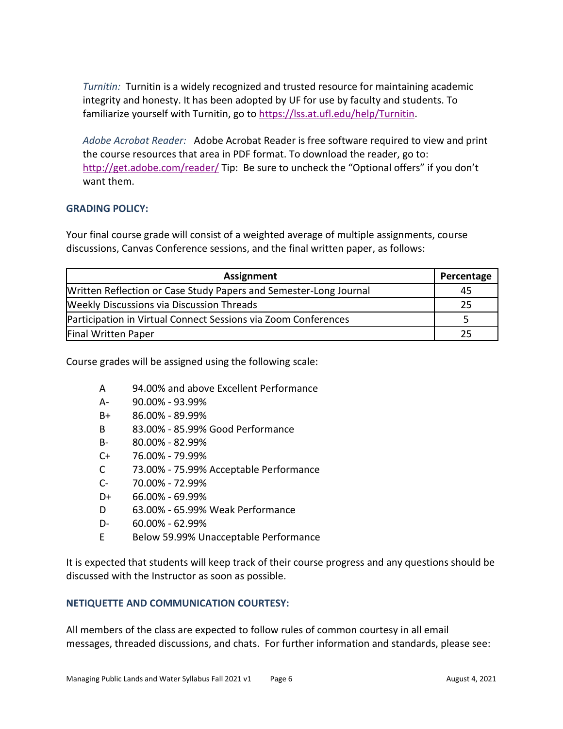*Turnitin:* Turnitin is a widely recognized and trusted resource for maintaining academic integrity and honesty. It has been adopted by UF for use by faculty and students. To familiarize yourself with Turnitin, go to [https://lss.at.ufl.edu/help/Turnitin.](https://lss.at.ufl.edu/help/Turnitin)

*Adobe Acrobat Reader:* Adobe Acrobat Reader is free software required to view and print the course resources that area in PDF format. To download the reader, go to: <http://get.adobe.com/reader/> Tip: Be sure to uncheck the "Optional offers" if you don't want them.

# **GRADING POLICY:**

Your final course grade will consist of a weighted average of multiple assignments, course discussions, Canvas Conference sessions, and the final written paper, as follows:

| <b>Assignment</b><br>Percentage                                   |    |  |
|-------------------------------------------------------------------|----|--|
| Written Reflection or Case Study Papers and Semester-Long Journal | 45 |  |
| <b>Weekly Discussions via Discussion Threads</b>                  | 25 |  |
| Participation in Virtual Connect Sessions via Zoom Conferences    |    |  |
| Final Written Paper                                               |    |  |

Course grades will be assigned using the following scale:

- A 94.00% and above Excellent Performance
- A- 90.00% 93.99%
- B+ 86.00% 89.99%
- B 83.00% 85.99% Good Performance
- B- 80.00% 82.99%
- C+ 76.00% 79.99%
- C 73.00% 75.99% Acceptable Performance
- C- 70.00% 72.99%
- D+ 66.00% 69.99%
- D 63.00% 65.99% Weak Performance
- D- 60.00% 62.99%
- E Below 59.99% Unacceptable Performance

It is expected that students will keep track of their course progress and any questions should be discussed with the Instructor as soon as possible.

#### **NETIQUETTE AND COMMUNICATION COURTESY:**

All members of the class are expected to follow rules of common courtesy in all email messages, threaded discussions, and chats. For further information and standards, please see: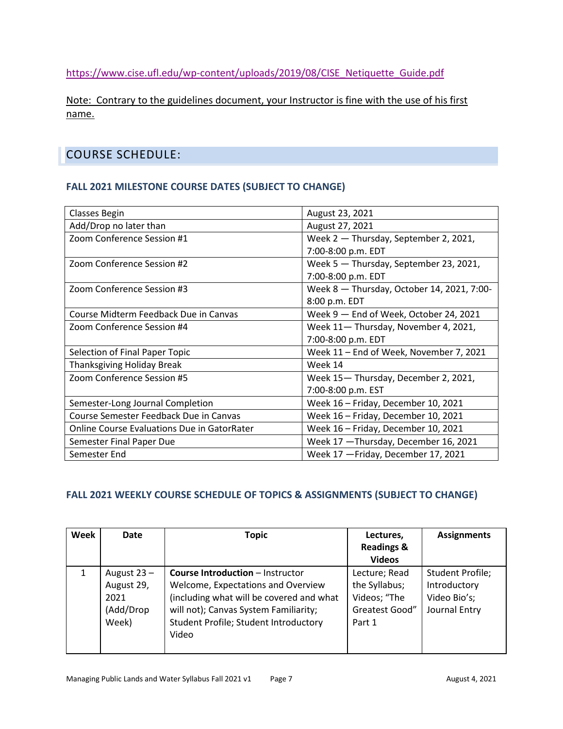[https://www.cise.ufl.edu/wp-content/uploads/2019/08/CISE\\_Netiquette\\_Guide.pdf](https://www.cise.ufl.edu/wp-content/uploads/2019/08/CISE_Netiquette_Guide.pdf)

Note: Contrary to the guidelines document, your Instructor is fine with the use of his first name.

# COURSE SCHEDULE:

# **FALL 2021 MILESTONE COURSE DATES (SUBJECT TO CHANGE)**

| <b>Classes Begin</b>                               | August 23, 2021                            |
|----------------------------------------------------|--------------------------------------------|
| Add/Drop no later than                             | August 27, 2021                            |
| Zoom Conference Session #1                         | Week 2 - Thursday, September 2, 2021,      |
|                                                    | 7:00-8:00 p.m. EDT                         |
| Zoom Conference Session #2                         | Week 5 - Thursday, September 23, 2021,     |
|                                                    | 7:00-8:00 p.m. EDT                         |
| Zoom Conference Session #3                         | Week 8 - Thursday, October 14, 2021, 7:00- |
|                                                    | 8:00 p.m. EDT                              |
| Course Midterm Feedback Due in Canvas              | Week 9 - End of Week, October 24, 2021     |
| Zoom Conference Session #4                         | Week 11- Thursday, November 4, 2021,       |
|                                                    | 7:00-8:00 p.m. EDT                         |
| Selection of Final Paper Topic                     | Week 11 - End of Week, November 7, 2021    |
| Thanksgiving Holiday Break                         | Week 14                                    |
| Zoom Conference Session #5                         | Week 15-Thursday, December 2, 2021,        |
|                                                    | 7:00-8:00 p.m. EST                         |
| Semester-Long Journal Completion                   | Week 16 - Friday, December 10, 2021        |
| Course Semester Feedback Due in Canvas             | Week 16 - Friday, December 10, 2021        |
| <b>Online Course Evaluations Due in GatorRater</b> | Week 16 - Friday, December 10, 2021        |
| Semester Final Paper Due                           | Week 17 - Thursday, December 16, 2021      |
| Semester End                                       | Week 17 - Friday, December 17, 2021        |

# **FALL 2021 WEEKLY COURSE SCHEDULE OF TOPICS & ASSIGNMENTS (SUBJECT TO CHANGE)**

| Week | Date                                                      | <b>Topic</b>                                                                                                                                                                                                         | Lectures,<br><b>Readings &amp;</b><br><b>Videos</b>                        | <b>Assignments</b>                                                       |
|------|-----------------------------------------------------------|----------------------------------------------------------------------------------------------------------------------------------------------------------------------------------------------------------------------|----------------------------------------------------------------------------|--------------------------------------------------------------------------|
| 1    | August $23 -$<br>August 29,<br>2021<br>(Add/Drop<br>Week) | <b>Course Introduction - Instructor</b><br>Welcome, Expectations and Overview<br>(including what will be covered and what<br>will not); Canvas System Familiarity;<br>Student Profile; Student Introductory<br>Video | Lecture; Read<br>the Syllabus;<br>Videos; "The<br>Greatest Good"<br>Part 1 | <b>Student Profile;</b><br>Introductory<br>Video Bio's;<br>Journal Entry |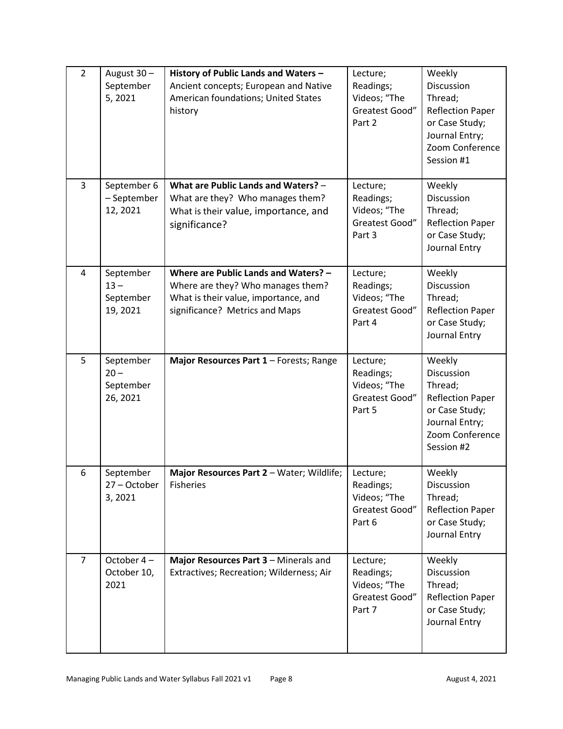| $\overline{2}$ | August 30-<br>September<br>5,2021            | History of Public Lands and Waters -<br>Ancient concepts; European and Native<br>American foundations; United States<br>history                     | Lecture;<br>Readings;<br>Videos; "The<br>Greatest Good"<br>Part 2 | Weekly<br>Discussion<br>Thread;<br><b>Reflection Paper</b><br>or Case Study;<br>Journal Entry;<br>Zoom Conference<br>Session #1 |
|----------------|----------------------------------------------|-----------------------------------------------------------------------------------------------------------------------------------------------------|-------------------------------------------------------------------|---------------------------------------------------------------------------------------------------------------------------------|
| 3              | September 6<br>- September<br>12, 2021       | What are Public Lands and Waters? -<br>What are they? Who manages them?<br>What is their value, importance, and<br>significance?                    | Lecture;<br>Readings;<br>Videos; "The<br>Greatest Good"<br>Part 3 | Weekly<br>Discussion<br>Thread;<br><b>Reflection Paper</b><br>or Case Study;<br>Journal Entry                                   |
| 4              | September<br>$13 -$<br>September<br>19, 2021 | Where are Public Lands and Waters? -<br>Where are they? Who manages them?<br>What is their value, importance, and<br>significance? Metrics and Maps | Lecture;<br>Readings;<br>Videos; "The<br>Greatest Good"<br>Part 4 | Weekly<br>Discussion<br>Thread;<br><b>Reflection Paper</b><br>or Case Study;<br>Journal Entry                                   |
| 5              | September<br>$20 -$<br>September<br>26, 2021 | Major Resources Part 1 - Forests; Range                                                                                                             | Lecture;<br>Readings;<br>Videos; "The<br>Greatest Good"<br>Part 5 | Weekly<br>Discussion<br>Thread;<br><b>Reflection Paper</b><br>or Case Study;<br>Journal Entry;<br>Zoom Conference<br>Session #2 |
| 6              | September<br>27 - October<br>3,2021          | Major Resources Part 2 - Water; Wildlife;<br><b>Fisheries</b>                                                                                       | Lecture;<br>Readings;<br>Videos; "The<br>Greatest Good"<br>Part 6 | Weekly<br>Discussion<br>Thread;<br><b>Reflection Paper</b><br>or Case Study;<br>Journal Entry                                   |
| $\overline{7}$ | October 4-<br>October 10,<br>2021            | Major Resources Part 3 - Minerals and<br>Extractives; Recreation; Wilderness; Air                                                                   | Lecture;<br>Readings;<br>Videos; "The<br>Greatest Good"<br>Part 7 | Weekly<br>Discussion<br>Thread;<br><b>Reflection Paper</b><br>or Case Study;<br>Journal Entry                                   |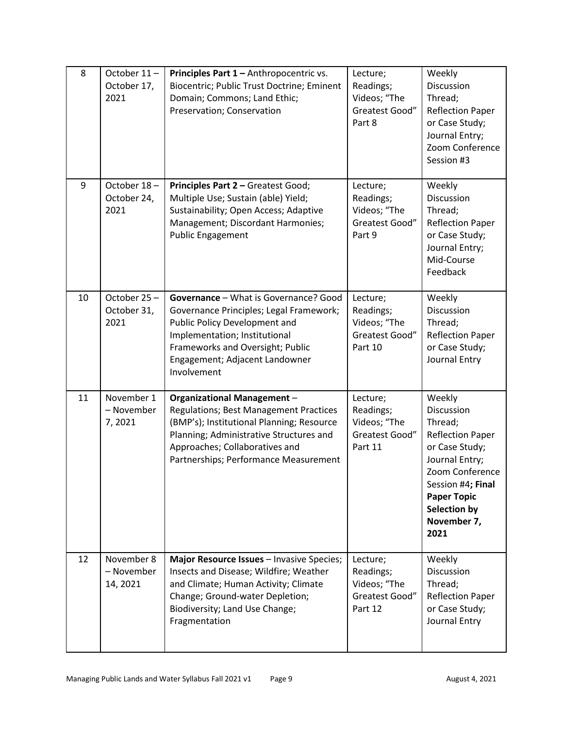| 8  | October 11-<br>October 17,<br>2021   | Principles Part 1 - Anthropocentric vs.<br>Biocentric; Public Trust Doctrine; Eminent<br>Domain; Commons; Land Ethic;<br>Preservation; Conservation                                                                                                    | Lecture;<br>Readings;<br>Videos; "The<br>Greatest Good"<br>Part 8  | Weekly<br>Discussion<br>Thread;<br><b>Reflection Paper</b><br>or Case Study;<br>Journal Entry;<br>Zoom Conference<br>Session #3                                                                     |
|----|--------------------------------------|--------------------------------------------------------------------------------------------------------------------------------------------------------------------------------------------------------------------------------------------------------|--------------------------------------------------------------------|-----------------------------------------------------------------------------------------------------------------------------------------------------------------------------------------------------|
| 9  | October 18-<br>October 24,<br>2021   | Principles Part 2 - Greatest Good;<br>Multiple Use; Sustain (able) Yield;<br>Sustainability; Open Access; Adaptive<br>Management; Discordant Harmonies;<br><b>Public Engagement</b>                                                                    | Lecture;<br>Readings;<br>Videos; "The<br>Greatest Good"<br>Part 9  | Weekly<br><b>Discussion</b><br>Thread;<br><b>Reflection Paper</b><br>or Case Study;<br>Journal Entry;<br>Mid-Course<br>Feedback                                                                     |
| 10 | October 25-<br>October 31,<br>2021   | Governance - What is Governance? Good<br>Governance Principles; Legal Framework;<br>Public Policy Development and<br>Implementation; Institutional<br>Frameworks and Oversight; Public<br>Engagement; Adjacent Landowner<br>Involvement                | Lecture;<br>Readings;<br>Videos; "The<br>Greatest Good"<br>Part 10 | Weekly<br>Discussion<br>Thread;<br><b>Reflection Paper</b><br>or Case Study;<br>Journal Entry                                                                                                       |
| 11 | November 1<br>- November<br>7,2021   | <b>Organizational Management -</b><br><b>Regulations; Best Management Practices</b><br>(BMP's); Institutional Planning; Resource<br>Planning; Administrative Structures and<br>Approaches; Collaboratives and<br>Partnerships; Performance Measurement | Lecture;<br>Readings;<br>Videos; "The<br>Greatest Good"<br>Part 11 | Weekly<br>Discussion<br>Thread;<br><b>Reflection Paper</b><br>or Case Study;<br>Journal Entry;<br>Zoom Conference<br>Session #4; Final<br><b>Paper Topic</b><br>Selection by<br>November 7,<br>2021 |
| 12 | November 8<br>- November<br>14, 2021 | Major Resource Issues - Invasive Species;<br>Insects and Disease; Wildfire; Weather<br>and Climate; Human Activity; Climate<br>Change; Ground-water Depletion;<br>Biodiversity; Land Use Change;<br>Fragmentation                                      | Lecture;<br>Readings;<br>Videos; "The<br>Greatest Good"<br>Part 12 | Weekly<br>Discussion<br>Thread;<br><b>Reflection Paper</b><br>or Case Study;<br>Journal Entry                                                                                                       |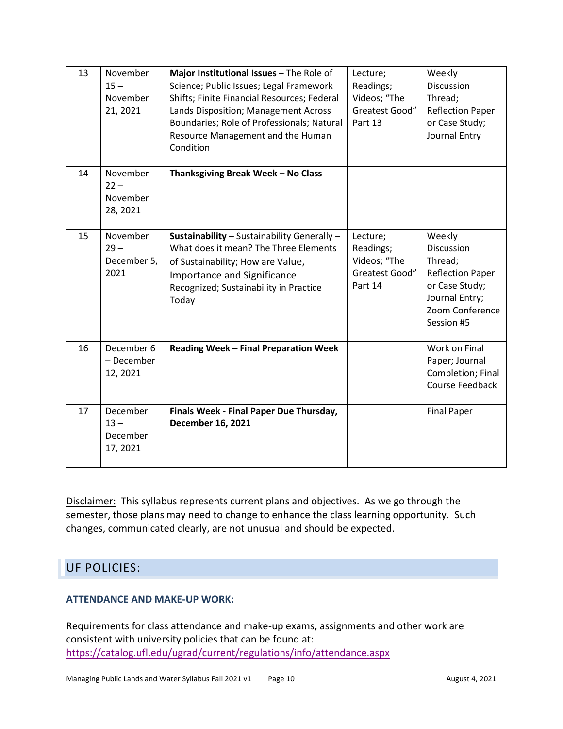| 13 | November<br>$15 -$<br>November<br>21, 2021 | Major Institutional Issues - The Role of<br>Science; Public Issues; Legal Framework<br>Shifts; Finite Financial Resources; Federal<br>Lands Disposition; Management Across<br>Boundaries; Role of Professionals; Natural<br>Resource Management and the Human<br>Condition | Lecture;<br>Readings;<br>Videos; "The<br>Greatest Good"<br>Part 13 | Weekly<br><b>Discussion</b><br>Thread;<br><b>Reflection Paper</b><br>or Case Study;<br>Journal Entry                            |
|----|--------------------------------------------|----------------------------------------------------------------------------------------------------------------------------------------------------------------------------------------------------------------------------------------------------------------------------|--------------------------------------------------------------------|---------------------------------------------------------------------------------------------------------------------------------|
| 14 | November<br>$22 -$<br>November<br>28, 2021 | Thanksgiving Break Week - No Class                                                                                                                                                                                                                                         |                                                                    |                                                                                                                                 |
| 15 | November<br>$29 -$<br>December 5,<br>2021  | Sustainability - Sustainability Generally -<br>What does it mean? The Three Elements<br>of Sustainability; How are Value,<br><b>Importance and Significance</b><br>Recognized; Sustainability in Practice<br>Today                                                         | Lecture;<br>Readings;<br>Videos; "The<br>Greatest Good"<br>Part 14 | Weekly<br>Discussion<br>Thread;<br><b>Reflection Paper</b><br>or Case Study;<br>Journal Entry;<br>Zoom Conference<br>Session #5 |
| 16 | December 6<br>- December<br>12, 2021       | Reading Week - Final Preparation Week                                                                                                                                                                                                                                      |                                                                    | Work on Final<br>Paper; Journal<br>Completion; Final<br><b>Course Feedback</b>                                                  |
| 17 | December<br>$13 -$<br>December<br>17, 2021 | Finals Week - Final Paper Due Thursday,<br>December 16, 2021                                                                                                                                                                                                               |                                                                    | <b>Final Paper</b>                                                                                                              |

Disclaimer: This syllabus represents current plans and objectives. As we go through the semester, those plans may need to change to enhance the class learning opportunity. Such changes, communicated clearly, are not unusual and should be expected.

# UF POLICIES:

# **ATTENDANCE AND MAKE-UP WORK:**

Requirements for class attendance and make-up exams, assignments and other work are consistent with university policies that can be found at: <https://catalog.ufl.edu/ugrad/current/regulations/info/attendance.aspx>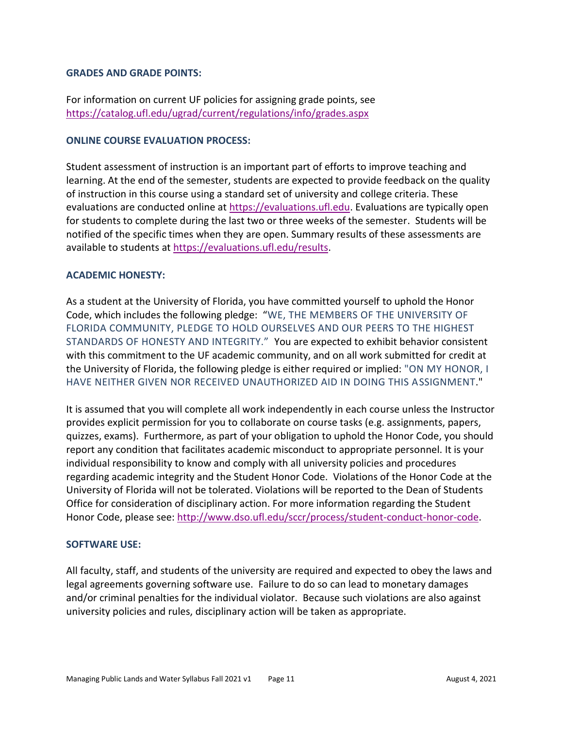#### **GRADES AND GRADE POINTS:**

For information on current UF policies for assigning grade points, see <https://catalog.ufl.edu/ugrad/current/regulations/info/grades.aspx>

#### **ONLINE COURSE EVALUATION PROCESS:**

Student assessment of instruction is an important part of efforts to improve teaching and learning. At the end of the semester, students are expected to provide feedback on the quality of instruction in this course using a standard set of university and college criteria. These evaluations are conducted online at [https://evaluations.ufl.edu.](https://evaluations.ufl.edu/) Evaluations are typically open for students to complete during the last two or three weeks of the semester. Students will be notified of the specific times when they are open. Summary results of these assessments are available to students at [https://evaluations.ufl.edu/results.](https://evaluations.ufl.edu/results)

# **ACADEMIC HONESTY:**

As a student at the University of Florida, you have committed yourself to uphold the Honor Code, which includes the following pledge: "WE, THE MEMBERS OF THE UNIVERSITY OF FLORIDA COMMUNITY, PLEDGE TO HOLD OURSELVES AND OUR PEERS TO THE HIGHEST STANDARDS OF HONESTY AND INTEGRITY." You are expected to exhibit behavior consistent with this commitment to the UF academic community, and on all work submitted for credit at the University of Florida, the following pledge is either required or implied: "ON MY HONOR, I HAVE NEITHER GIVEN NOR RECEIVED UNAUTHORIZED AID IN DOING THIS ASSIGNMENT."

It is assumed that you will complete all work independently in each course unless the Instructor provides explicit permission for you to collaborate on course tasks (e.g. assignments, papers, quizzes, exams). Furthermore, as part of your obligation to uphold the Honor Code, you should report any condition that facilitates academic misconduct to appropriate personnel. It is your individual responsibility to know and comply with all university policies and procedures regarding academic integrity and the Student Honor Code. Violations of the Honor Code at the University of Florida will not be tolerated. Violations will be reported to the Dean of Students Office for consideration of disciplinary action. For more information regarding the Student Honor Code, please see: [http://www.dso.ufl.edu/sccr/process/student-conduct-honor-code.](http://www.dso.ufl.edu/sccr/process/student-conduct-honor-code)

#### **SOFTWARE USE:**

All faculty, staff, and students of the university are required and expected to obey the laws and legal agreements governing software use. Failure to do so can lead to monetary damages and/or criminal penalties for the individual violator. Because such violations are also against university policies and rules, disciplinary action will be taken as appropriate.